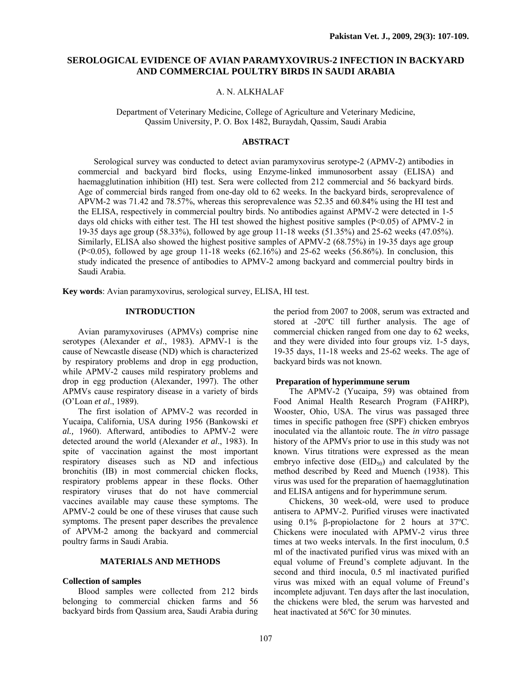# **SEROLOGICAL EVIDENCE OF AVIAN PARAMYXOVIRUS-2 INFECTION IN BACKYARD AND COMMERCIAL POULTRY BIRDS IN SAUDI ARABIA**

## A. N. ALKHALAF

Department of Veterinary Medicine, College of Agriculture and Veterinary Medicine, Qassim University, P. O. Box 1482, Buraydah, Qassim, Saudi Arabia

#### **ABSTRACT**

Serological survey was conducted to detect avian paramyxovirus serotype-2 (APMV-2) antibodies in commercial and backyard bird flocks, using Enzyme-linked immunosorbent assay (ELISA) and haemagglutination inhibition (HI) test. Sera were collected from 212 commercial and 56 backyard birds. Age of commercial birds ranged from one-day old to 62 weeks. In the backyard birds, seroprevalence of APVM-2 was 71.42 and 78.57%, whereas this seroprevalence was 52.35 and 60.84% using the HI test and the ELISA, respectively in commercial poultry birds. No antibodies against APMV-2 were detected in 1-5 days old chicks with either test. The HI test showed the highest positive samples (P<0.05) of APMV-2 in 19-35 days age group (58.33%), followed by age group 11-18 weeks (51.35%) and 25-62 weeks (47.05%). Similarly, ELISA also showed the highest positive samples of APMV-2 (68.75%) in 19-35 days age group  $(P<0.05)$ , followed by age group 11-18 weeks  $(62.16%)$  and 25-62 weeks  $(56.86%)$ . In conclusion, this study indicated the presence of antibodies to APMV-2 among backyard and commercial poultry birds in Saudi Arabia.

**Key words**: Avian paramyxovirus, serological survey, ELISA, HI test.

## **INTRODUCTION**

Avian paramyxoviruses (APMVs) comprise nine serotypes (Alexander *et al*., 1983). APMV-1 is the cause of Newcastle disease (ND) which is characterized by respiratory problems and drop in egg production, while APMV-2 causes mild respiratory problems and drop in egg production (Alexander, 1997). The other APMVs cause respiratory disease in a variety of birds (O'Loan *et al*., 1989).

The first isolation of APMV-2 was recorded in Yucaipa, California, USA during 1956 (Bankowski *et al.,* 1960). Afterward, antibodies to APMV-2 were detected around the world (Alexander *et al*., 1983). In spite of vaccination against the most important respiratory diseases such as ND and infectious bronchitis (IB) in most commercial chicken flocks, respiratory problems appear in these flocks. Other respiratory viruses that do not have commercial vaccines available may cause these symptoms. The APMV-2 could be one of these viruses that cause such symptoms. The present paper describes the prevalence of APVM-2 among the backyard and commercial poultry farms in Saudi Arabia.

#### **MATERIALS AND METHODS**

#### **Collection of samples**

Blood samples were collected from 212 birds belonging to commercial chicken farms and 56 backyard birds from Qassium area, Saudi Arabia during the period from 2007 to 2008, serum was extracted and stored at -20ºC till further analysis. The age of commercial chicken ranged from one day to 62 weeks, and they were divided into four groups viz. 1-5 days, 19-35 days, 11-18 weeks and 25-62 weeks. The age of backyard birds was not known.

### **Preparation of hyperimmune serum**

The APMV-2 (Yucaipa, 59) was obtained from Food Animal Health Research Program (FAHRP), Wooster, Ohio, USA. The virus was passaged three times in specific pathogen free (SPF) chicken embryos inoculated via the allantoic route. The *in vitro* passage history of the APMVs prior to use in this study was not known. Virus titrations were expressed as the mean embryo infective dose  $(EID<sub>50</sub>)$  and calculated by the method described by Reed and Muench (1938). This virus was used for the preparation of haemagglutination and ELISA antigens and for hyperimmune serum.

Chickens, 30 week-old, were used to produce antisera to APMV-2. Purified viruses were inactivated using 0.1% β-propiolactone for 2 hours at 37ºC. Chickens were inoculated with APMV-2 virus three times at two weeks intervals. In the first inoculum, 0.5 ml of the inactivated purified virus was mixed with an equal volume of Freund's complete adjuvant. In the second and third inocula, 0.5 ml inactivated purified virus was mixed with an equal volume of Freund's incomplete adjuvant. Ten days after the last inoculation, the chickens were bled, the serum was harvested and heat inactivated at 56ºC for 30 minutes.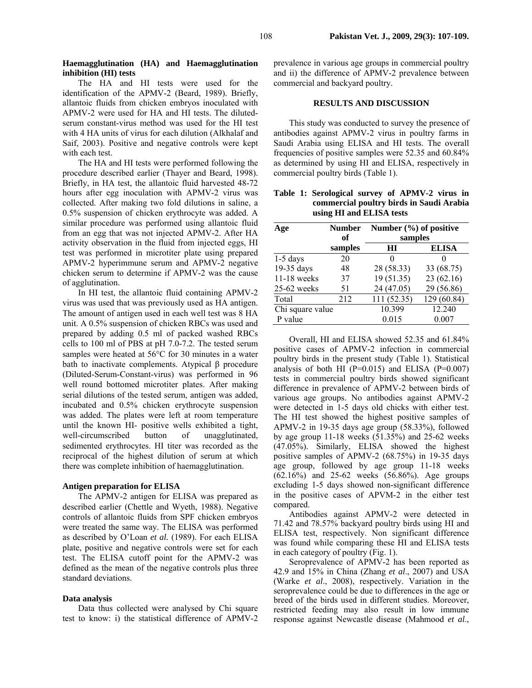## **Haemagglutination (HA) and Haemagglutination inhibition (HI) tests**

The HA and HI tests were used for the identification of the APMV-2 (Beard, 1989). Briefly, allantoic fluids from chicken embryos inoculated with APMV-2 were used for HA and HI tests. The dilutedserum constant-virus method was used for the HI test with 4 HA units of virus for each dilution (Alkhalaf and Saif, 2003). Positive and negative controls were kept with each test.

The HA and HI tests were performed following the procedure described earlier (Thayer and Beard, 1998). Briefly, in HA test, the allantoic fluid harvested 48-72 hours after egg inoculation with APMV-2 virus was collected. After making two fold dilutions in saline, a 0.5% suspension of chicken erythrocyte was added. A similar procedure was performed using allantoic fluid from an egg that was not injected APMV-2. After HA activity observation in the fluid from injected eggs, HI test was performed in microtiter plate using prepared APMV-2 hyperimmune serum and APMV-2 negative chicken serum to determine if APMV-2 was the cause of agglutination.

In HI test, the allantoic fluid containing APMV-2 virus was used that was previously used as HA antigen. The amount of antigen used in each well test was 8 HA unit. A 0.5% suspension of chicken RBCs was used and prepared by adding 0.5 ml of packed washed RBCs cells to 100 ml of PBS at pH 7.0-7.2. The tested serum samples were heated at 56°C for 30 minutes in a water bath to inactivate complements. Atypical β procedure (Diluted-Serum-Constant-virus) was performed in 96 well round bottomed microtiter plates. After making serial dilutions of the tested serum, antigen was added, incubated and 0.5% chicken erythrocyte suspension was added. The plates were left at room temperature until the known HI- positive wells exhibited a tight, well-circumscribed button of unagglutinated, sedimented erythrocytes. HI titer was recorded as the reciprocal of the highest dilution of serum at which there was complete inhibition of haemagglutination.

## **Antigen preparation for ELISA**

The APMV-2 antigen for ELISA was prepared as described earlier (Chettle and Wyeth, 1988). Negative controls of allantoic fluids from SPF chicken embryos were treated the same way. The ELISA was performed as described by O'Loan *et al.* (1989). For each ELISA plate, positive and negative controls were set for each test. The ELISA cutoff point for the APMV-2 was defined as the mean of the negative controls plus three standard deviations.

#### **Data analysis**

Data thus collected were analysed by Chi square test to know: i) the statistical difference of APMV-2 prevalence in various age groups in commercial poultry and ii) the difference of APMV-2 prevalence between commercial and backyard poultry.

#### **RESULTS AND DISCUSSION**

This study was conducted to survey the presence of antibodies against APMV-2 virus in poultry farms in Saudi Arabia using ELISA and HI tests. The overall frequencies of positive samples were 52.35 and 60.84% as determined by using HI and ELISA, respectively in commercial poultry birds (Table 1).

**Table 1: Serological survey of APMV-2 virus in commercial poultry birds in Saudi Arabia using HI and ELISA tests** 

| Age              | <b>Number</b> | Number $(\% )$ of positive |              |
|------------------|---------------|----------------------------|--------------|
|                  | of            | samples                    |              |
|                  | samples       | HІ                         | <b>ELISA</b> |
| $1-5$ days       | 20            |                            |              |
| 19-35 days       | 48            | 28 (58.33)                 | 33 (68.75)   |
| $11-18$ weeks    | 37            | 19 (51.35)                 | 23(62.16)    |
| $25-62$ weeks    | 51            | 24 (47.05)                 | 29 (56.86)   |
| Total            | 212           | 111 (52.35)                | 129 (60.84)  |
| Chi square value |               | 10.399                     | 12.240       |
| P value          |               | 0.015                      | 0.007        |

Overall, HI and ELISA showed 52.35 and 61.84% positive cases of APMV-2 infection in commercial poultry birds in the present study (Table 1). Statistical analysis of both HI ( $P=0.015$ ) and ELISA ( $P=0.007$ ) tests in commercial poultry birds showed significant difference in prevalence of APMV-2 between birds of various age groups. No antibodies against APMV-2 were detected in 1-5 days old chicks with either test. The HI test showed the highest positive samples of APMV-2 in 19-35 days age group (58.33%), followed by age group 11-18 weeks (51.35%) and 25-62 weeks (47.05%). Similarly, ELISA showed the highest positive samples of APMV-2 (68.75%) in 19-35 days age group, followed by age group 11-18 weeks (62.16%) and 25-62 weeks (56.86%). Age groups excluding 1-5 days showed non-significant difference in the positive cases of APVM-2 in the either test compared.

Antibodies against APMV-2 were detected in 71.42 and 78.57% backyard poultry birds using HI and ELISA test, respectively. Non significant difference was found while comparing these HI and ELISA tests in each category of poultry (Fig. 1).

Seroprevalence of APMV-2 has been reported as 42.9 and 15% in China (Zhang *et al*., 2007) and USA (Warke *et al*., 2008), respectively. Variation in the seroprevalence could be due to differences in the age or breed of the birds used in different studies. Moreover, restricted feeding may also result in low immune response against Newcastle disease (Mahmood *et al*.,